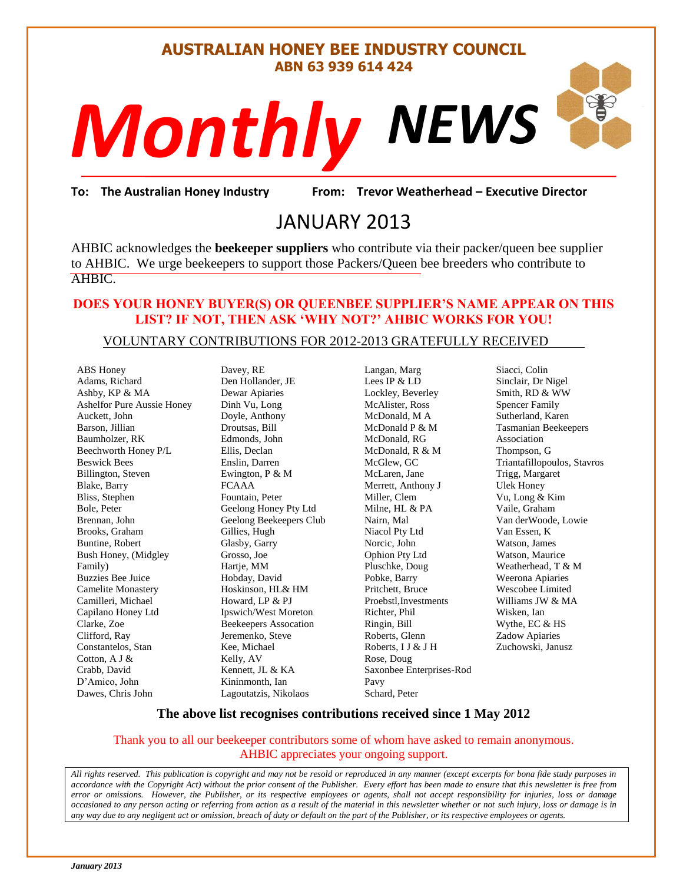#### **AUSTRALIAN HONEY BEE INDUSTRY COUNCIL ABN 63 939 614 424**

# *NEWS Monthly*

or Weatherhea<br>Daniel<br>Daniel School<br>Daniel School **To: The Australian Honey Industry From: Trevor Weatherhead – Executive Director**

### JANUARY 2013

AHBIC acknowledges the **beekeeper suppliers** who contribute via their packer/queen bee supplier to AHBIC. We urge beekeepers to support those Packers/Queen bee breeders who contribute to AHBIC.

#### **DOES YOUR HONEY BUYER(S) OR QUEENBEE SUPPLIER'S NAME APPEAR ON THIS LIST? IF NOT, THEN ASK 'WHY NOT?' AHBIC WORKS FOR YOU!**

#### VOLUNTARY CONTRIBUTIONS FOR 2012-2013 GRATEFULLY RECEIVED

ABS Honey Adams, Richard Ashby, KP & MA Ashelfor Pure Aussie Honey Auckett, John Barson, Jillian Baumholzer, RK Beechworth Honey P/L Beswick Bees Billington, Steven Blake, Barry Bliss, Stephen Bole, Peter Brennan, John Brooks, Graham Buntine, Robert Bush Honey, (Midgley Family) Buzzies Bee Juice Camelite Monastery Camilleri, Michael Capilano Honey Ltd Clarke, Zoe Clifford, Ray Constantelos, Stan Cotton, A J & Crabb, David D'Amico, John Dawes, Chris John

Davey, RE Den Hollander, JE Dewar Apiaries Dinh Vu, Long Doyle, Anthony Droutsas, Bill Edmonds, John Ellis, Declan Enslin, Darren Ewington, P & M FCAAA Fountain, Peter Geelong Honey Pty Ltd Geelong Beekeepers Club Gillies, Hugh Glasby, Garry Grosso, Joe Hartje, MM Hobday, David Hoskinson, HL& HM Howard, LP & PJ Ipswich/West Moreton Beekeepers Assocation Jeremenko, Steve Kee, Michael Kelly, AV Kennett, JL & KA Kininmonth, Ian Lagoutatzis, Nikolaos

Langan, Marg Lees IP & LD Lockley, Beverley McAlister, Ross McDonald, M A McDonald P & M McDonald, RG McDonald, R & M McGlew, GC McLaren, Jane Merrett, Anthony J Miller, Clem Milne, HL & PA Nairn, Mal Niacol Pty Ltd Norcic, John Ophion Pty Ltd Pluschke, Doug Pobke, Barry Pritchett, Bruce Proebstl,Investments Richter, Phil Ringin, Bill Roberts, Glenn Roberts, I J & J H Rose, Doug Saxonbee Enterprises-Rod Pavy Schard, Peter

Siacci, Colin Sinclair, Dr Nigel Smith, RD & WW Spencer Family Sutherland, Karen Tasmanian Beekeepers Association Thompson, G Triantafillopoulos, Stavros Trigg, Margaret Ulek Honey Vu, Long & Kim Vaile, Graham Van derWoode, Lowie Van Essen, K Watson, James Watson, Maurice Weatherhead, T & M Weerona Apiaries Wescobee Limited Williams JW & MA Wisken, Ian Wythe, EC & HS Zadow Apiaries Zuchowski, Janusz

#### **The above list recognises contributions received since 1 May 2012**

#### Thank you to all our beekeeper contributors some of whom have asked to remain anonymous. AHBIC appreciates your ongoing support.

*All rights reserved. This publication is copyright and may not be resold or reproduced in any manner (except excerpts for bona fide study purposes in accordance with the Copyright Act) without the prior consent of the Publisher. Every effort has been made to ensure that this newsletter is free from error or omissions. However, the Publisher, or its respective employees or agents, shall not accept responsibility for injuries, loss or damage occasioned to any person acting or referring from action as a result of the material in this newsletter whether or not such injury, loss or damage is in any way due to any negligent act or omission, breach of duty or default on the part of the Publisher, or its respective employees or agents.*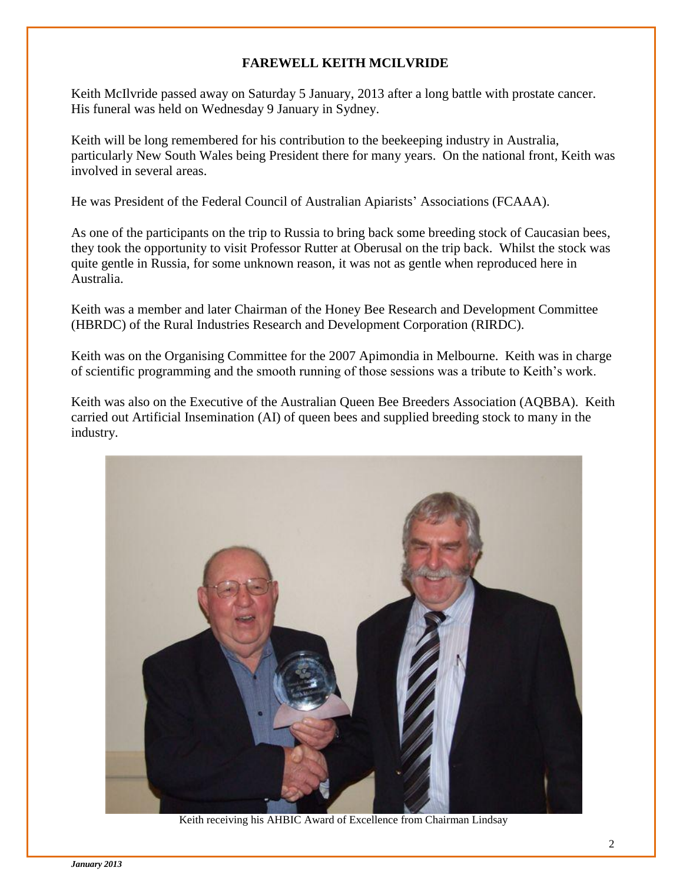#### **FAREWELL KEITH MCILVRIDE**

Keith McIlvride passed away on Saturday 5 January, 2013 after a long battle with prostate cancer. His funeral was held on Wednesday 9 January in Sydney.

Keith will be long remembered for his contribution to the beekeeping industry in Australia, particularly New South Wales being President there for many years. On the national front, Keith was involved in several areas.

He was President of the Federal Council of Australian Apiarists' Associations (FCAAA).

As one of the participants on the trip to Russia to bring back some breeding stock of Caucasian bees, they took the opportunity to visit Professor Rutter at Oberusal on the trip back. Whilst the stock was quite gentle in Russia, for some unknown reason, it was not as gentle when reproduced here in Australia.

Keith was a member and later Chairman of the Honey Bee Research and Development Committee (HBRDC) of the Rural Industries Research and Development Corporation (RIRDC).

Keith was on the Organising Committee for the 2007 Apimondia in Melbourne. Keith was in charge of scientific programming and the smooth running of those sessions was a tribute to Keith's work.

Keith was also on the Executive of the Australian Queen Bee Breeders Association (AQBBA). Keith carried out Artificial Insemination (AI) of queen bees and supplied breeding stock to many in the industry.



Keith receiving his AHBIC Award of Excellence from Chairman Lindsay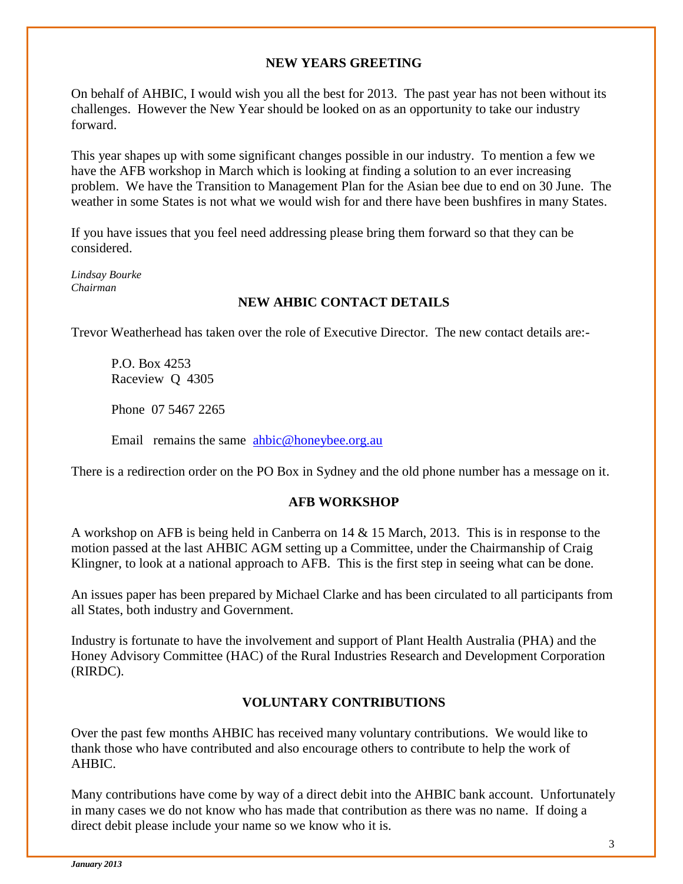#### **NEW YEARS GREETING**

On behalf of AHBIC, I would wish you all the best for 2013. The past year has not been without its challenges. However the New Year should be looked on as an opportunity to take our industry forward.

This year shapes up with some significant changes possible in our industry. To mention a few we have the AFB workshop in March which is looking at finding a solution to an ever increasing problem. We have the Transition to Management Plan for the Asian bee due to end on 30 June. The weather in some States is not what we would wish for and there have been bushfires in many States.

If you have issues that you feel need addressing please bring them forward so that they can be considered.

*Lindsay Bourke Chairman*

#### **NEW AHBIC CONTACT DETAILS**

Trevor Weatherhead has taken over the role of Executive Director. The new contact details are:-

P.O. Box 4253 Raceview Q 4305

Phone 07 5467 2265

Email remains the same [ahbic@honeybee.org.au](mailto:ahbic@honeybee.org.au)

There is a redirection order on the PO Box in Sydney and the old phone number has a message on it.

#### **AFB WORKSHOP**

A workshop on AFB is being held in Canberra on 14 & 15 March, 2013. This is in response to the motion passed at the last AHBIC AGM setting up a Committee, under the Chairmanship of Craig Klingner, to look at a national approach to AFB. This is the first step in seeing what can be done.

An issues paper has been prepared by Michael Clarke and has been circulated to all participants from all States, both industry and Government.

Industry is fortunate to have the involvement and support of Plant Health Australia (PHA) and the Honey Advisory Committee (HAC) of the Rural Industries Research and Development Corporation (RIRDC).

#### **VOLUNTARY CONTRIBUTIONS**

Over the past few months AHBIC has received many voluntary contributions. We would like to thank those who have contributed and also encourage others to contribute to help the work of AHBIC.

Many contributions have come by way of a direct debit into the AHBIC bank account. Unfortunately in many cases we do not know who has made that contribution as there was no name. If doing a direct debit please include your name so we know who it is.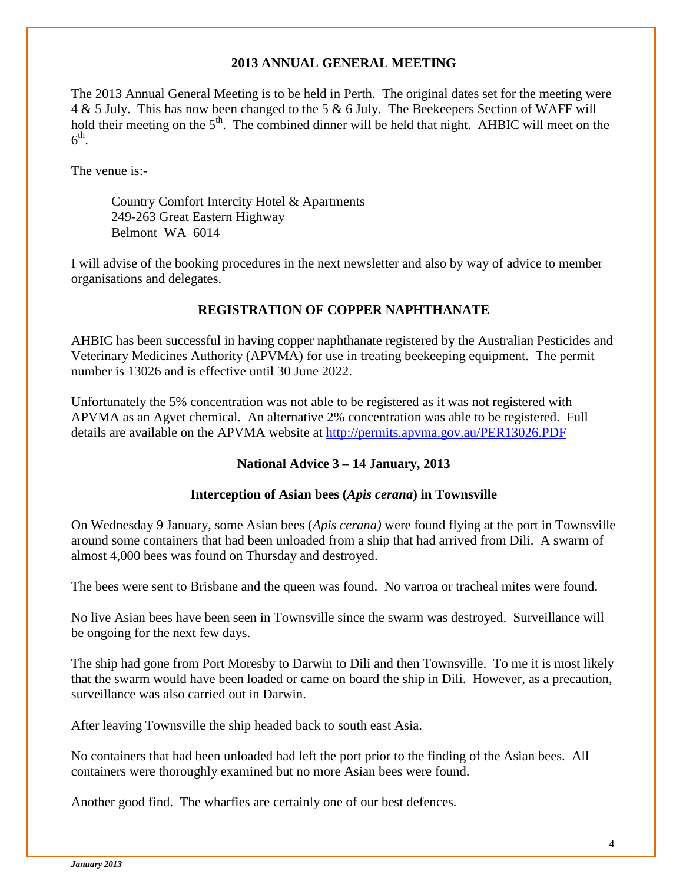#### **2013 ANNUAL GENERAL MEETING**

The 2013 Annual General Meeting is to be held in Perth. The original dates set for the meeting were 4 & 5 July. This has now been changed to the 5 & 6 July. The Beekeepers Section of WAFF will hold their meeting on the  $5<sup>th</sup>$ . The combined dinner will be held that night. AHBIC will meet on the  $6^{\text{th}}$ .

The venue is:-

Country Comfort Intercity Hotel & Apartments 249-263 Great Eastern Highway Belmont WA 6014

I will advise of the booking procedures in the next newsletter and also by way of advice to member organisations and delegates.

#### **REGISTRATION OF COPPER NAPHTHANATE**

AHBIC has been successful in having copper naphthanate registered by the Australian Pesticides and Veterinary Medicines Authority (APVMA) for use in treating beekeeping equipment. The permit number is 13026 and is effective until 30 June 2022.

Unfortunately the 5% concentration was not able to be registered as it was not registered with APVMA as an Agvet chemical. An alternative 2% concentration was able to be registered. Full details are available on the APVMA website at<http://permits.apvma.gov.au/PER13026.PDF>

#### **National Advice 3 – 14 January, 2013**

#### **Interception of Asian bees (***Apis cerana***) in Townsville**

On Wednesday 9 January, some Asian bees (*Apis cerana)* were found flying at the port in Townsville around some containers that had been unloaded from a ship that had arrived from Dili. A swarm of almost 4,000 bees was found on Thursday and destroyed.

The bees were sent to Brisbane and the queen was found. No varroa or tracheal mites were found.

No live Asian bees have been seen in Townsville since the swarm was destroyed. Surveillance will be ongoing for the next few days.

The ship had gone from Port Moresby to Darwin to Dili and then Townsville. To me it is most likely that the swarm would have been loaded or came on board the ship in Dili. However, as a precaution, surveillance was also carried out in Darwin.

After leaving Townsville the ship headed back to south east Asia.

No containers that had been unloaded had left the port prior to the finding of the Asian bees. All containers were thoroughly examined but no more Asian bees were found.

Another good find. The wharfies are certainly one of our best defences.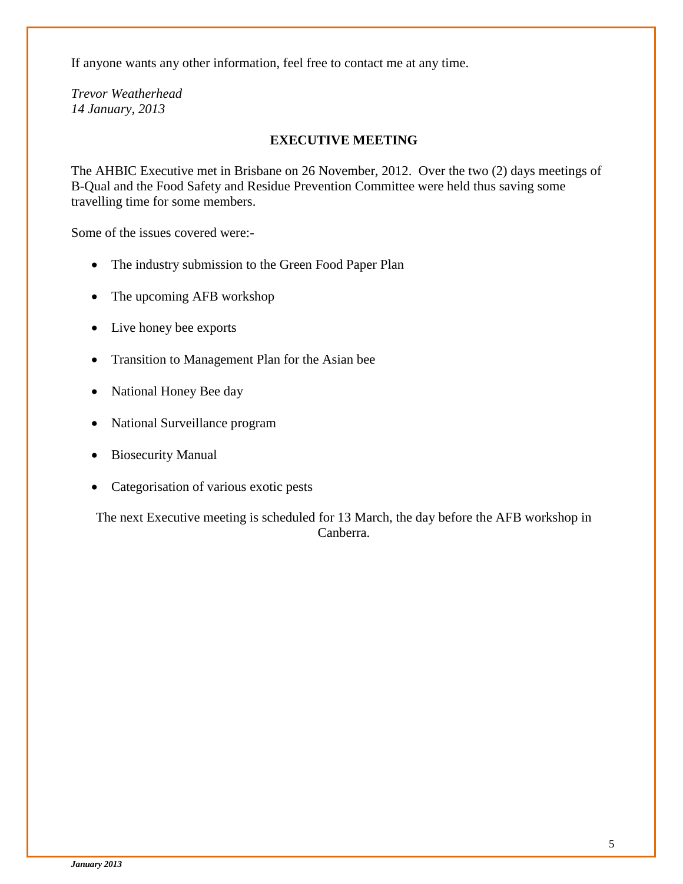If anyone wants any other information, feel free to contact me at any time.

*Trevor Weatherhead 14 January, 2013*

#### **EXECUTIVE MEETING**

The AHBIC Executive met in Brisbane on 26 November, 2012. Over the two (2) days meetings of B-Qual and the Food Safety and Residue Prevention Committee were held thus saving some travelling time for some members.

Some of the issues covered were:-

- The industry submission to the Green Food Paper Plan
- The upcoming AFB workshop
- Live honey bee exports
- Transition to Management Plan for the Asian bee
- National Honey Bee day
- National Surveillance program
- Biosecurity Manual
- Categorisation of various exotic pests

The next Executive meeting is scheduled for 13 March, the day before the AFB workshop in Canberra.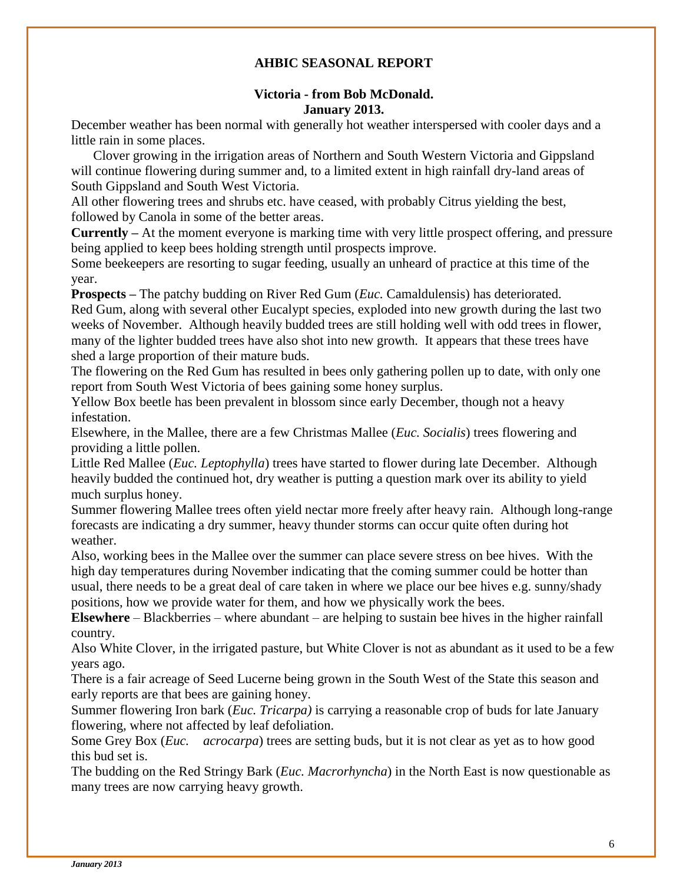#### **AHBIC SEASONAL REPORT**

#### **Victoria - from Bob McDonald. January 2013.**

December weather has been normal with generally hot weather interspersed with cooler days and a little rain in some places.

Clover growing in the irrigation areas of Northern and South Western Victoria and Gippsland will continue flowering during summer and, to a limited extent in high rainfall dry-land areas of South Gippsland and South West Victoria.

All other flowering trees and shrubs etc. have ceased, with probably Citrus yielding the best, followed by Canola in some of the better areas.

**Currently –** At the moment everyone is marking time with very little prospect offering, and pressure being applied to keep bees holding strength until prospects improve.

Some beekeepers are resorting to sugar feeding, usually an unheard of practice at this time of the year.

**Prospects –** The patchy budding on River Red Gum (*Euc.* Camaldulensis) has deteriorated. Red Gum, along with several other Eucalypt species, exploded into new growth during the last two weeks of November. Although heavily budded trees are still holding well with odd trees in flower, many of the lighter budded trees have also shot into new growth. It appears that these trees have shed a large proportion of their mature buds.

The flowering on the Red Gum has resulted in bees only gathering pollen up to date, with only one report from South West Victoria of bees gaining some honey surplus.

Yellow Box beetle has been prevalent in blossom since early December, though not a heavy infestation.

Elsewhere, in the Mallee, there are a few Christmas Mallee (*Euc. Socialis*) trees flowering and providing a little pollen.

Little Red Mallee (*Euc. Leptophylla*) trees have started to flower during late December. Although heavily budded the continued hot, dry weather is putting a question mark over its ability to yield much surplus honey.

Summer flowering Mallee trees often yield nectar more freely after heavy rain. Although long-range forecasts are indicating a dry summer, heavy thunder storms can occur quite often during hot weather.

Also, working bees in the Mallee over the summer can place severe stress on bee hives. With the high day temperatures during November indicating that the coming summer could be hotter than usual, there needs to be a great deal of care taken in where we place our bee hives e.g. sunny/shady positions, how we provide water for them, and how we physically work the bees.

**Elsewhere** – Blackberries – where abundant – are helping to sustain bee hives in the higher rainfall country.

Also White Clover, in the irrigated pasture, but White Clover is not as abundant as it used to be a few years ago.

There is a fair acreage of Seed Lucerne being grown in the South West of the State this season and early reports are that bees are gaining honey.

Summer flowering Iron bark (*Euc. Tricarpa)* is carrying a reasonable crop of buds for late January flowering, where not affected by leaf defoliation.

Some Grey Box (*Euc. acrocarpa*) trees are setting buds, but it is not clear as yet as to how good this bud set is.

The budding on the Red Stringy Bark (*Euc. Macrorhyncha*) in the North East is now questionable as many trees are now carrying heavy growth.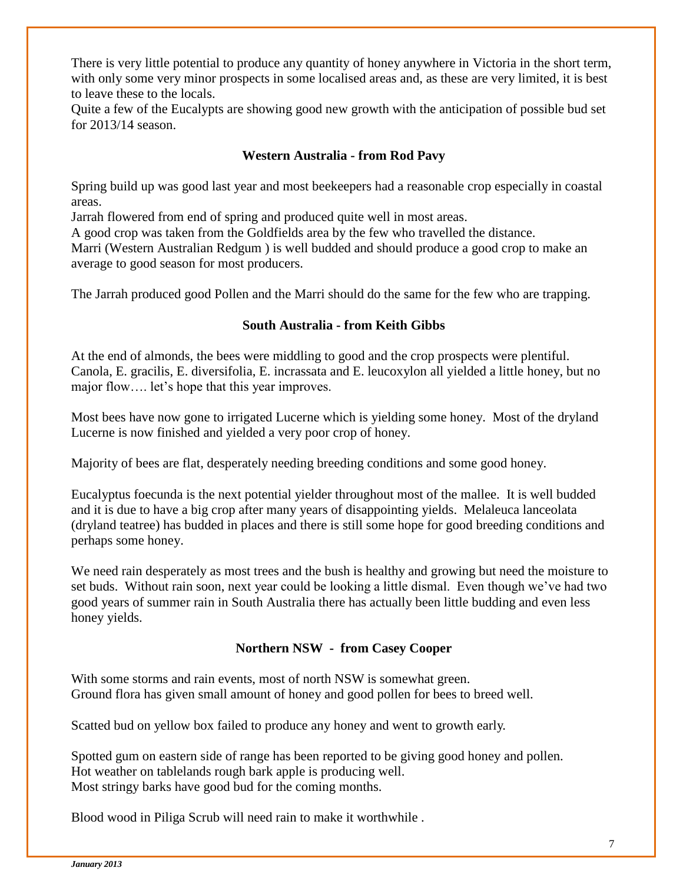There is very little potential to produce any quantity of honey anywhere in Victoria in the short term, with only some very minor prospects in some localised areas and, as these are very limited, it is best to leave these to the locals.

Quite a few of the Eucalypts are showing good new growth with the anticipation of possible bud set for 2013/14 season.

#### **Western Australia - from Rod Pavy**

Spring build up was good last year and most beekeepers had a reasonable crop especially in coastal areas.

Jarrah flowered from end of spring and produced quite well in most areas.

A good crop was taken from the Goldfields area by the few who travelled the distance.

Marri (Western Australian Redgum ) is well budded and should produce a good crop to make an average to good season for most producers.

The Jarrah produced good Pollen and the Marri should do the same for the few who are trapping.

#### **South Australia - from Keith Gibbs**

At the end of almonds, the bees were middling to good and the crop prospects were plentiful. Canola, E. gracilis, E. diversifolia, E. incrassata and E. leucoxylon all yielded a little honey, but no major flow…. let's hope that this year improves.

Most bees have now gone to irrigated Lucerne which is yielding some honey. Most of the dryland Lucerne is now finished and yielded a very poor crop of honey.

Majority of bees are flat, desperately needing breeding conditions and some good honey.

Eucalyptus foecunda is the next potential yielder throughout most of the mallee. It is well budded and it is due to have a big crop after many years of disappointing yields. Melaleuca lanceolata (dryland teatree) has budded in places and there is still some hope for good breeding conditions and perhaps some honey.

We need rain desperately as most trees and the bush is healthy and growing but need the moisture to set buds. Without rain soon, next year could be looking a little dismal. Even though we've had two good years of summer rain in South Australia there has actually been little budding and even less honey yields.

#### **Northern NSW - from Casey Cooper**

With some storms and rain events, most of north NSW is somewhat green. Ground flora has given small amount of honey and good pollen for bees to breed well.

Scatted bud on yellow box failed to produce any honey and went to growth early.

Spotted gum on eastern side of range has been reported to be giving good honey and pollen. Hot weather on tablelands rough bark apple is producing well. Most stringy barks have good bud for the coming months.

Blood wood in Piliga Scrub will need rain to make it worthwhile .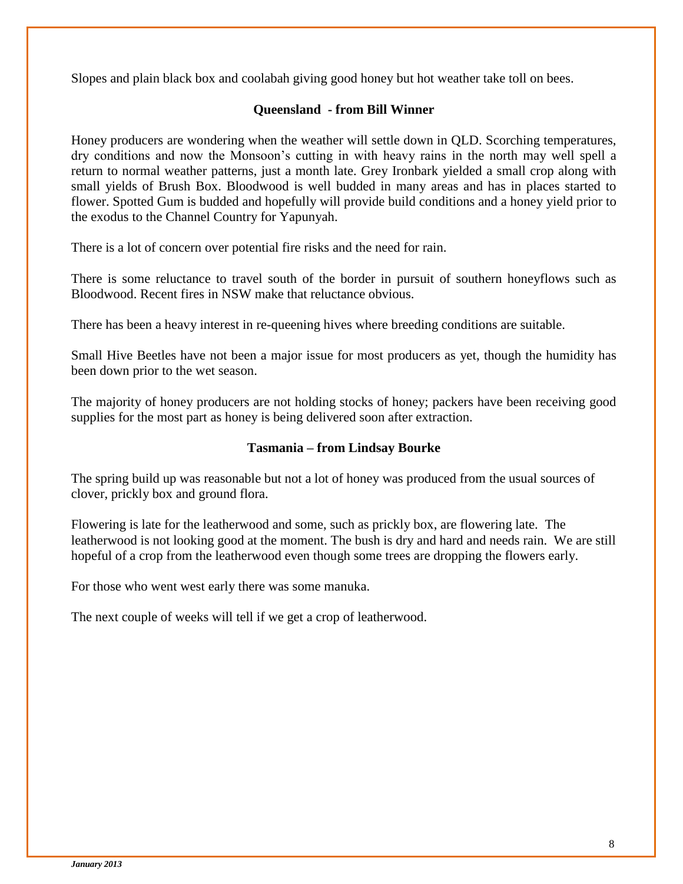Slopes and plain black box and coolabah giving good honey but hot weather take toll on bees.

#### **Queensland - from Bill Winner**

Honey producers are wondering when the weather will settle down in QLD. Scorching temperatures, dry conditions and now the Monsoon's cutting in with heavy rains in the north may well spell a return to normal weather patterns, just a month late. Grey Ironbark yielded a small crop along with small yields of Brush Box. Bloodwood is well budded in many areas and has in places started to flower. Spotted Gum is budded and hopefully will provide build conditions and a honey yield prior to the exodus to the Channel Country for Yapunyah.

There is a lot of concern over potential fire risks and the need for rain.

There is some reluctance to travel south of the border in pursuit of southern honeyflows such as Bloodwood. Recent fires in NSW make that reluctance obvious.

There has been a heavy interest in re-queening hives where breeding conditions are suitable.

Small Hive Beetles have not been a major issue for most producers as yet, though the humidity has been down prior to the wet season.

The majority of honey producers are not holding stocks of honey; packers have been receiving good supplies for the most part as honey is being delivered soon after extraction.

#### **Tasmania – from Lindsay Bourke**

The spring build up was reasonable but not a lot of honey was produced from the usual sources of clover, prickly box and ground flora.

Flowering is late for the leatherwood and some, such as prickly box, are flowering late. The leatherwood is not looking good at the moment. The bush is dry and hard and needs rain. We are still hopeful of a crop from the leatherwood even though some trees are dropping the flowers early.

For those who went west early there was some manuka.

The next couple of weeks will tell if we get a crop of leatherwood.